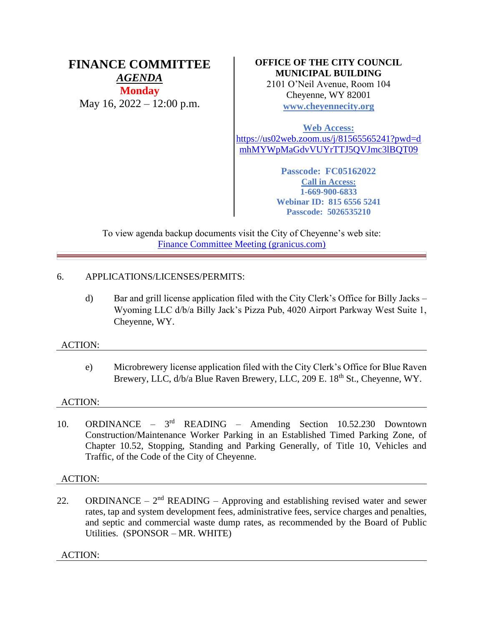# **FINANCE COMMITTEE** *AGENDA* **Monday** May 16, 2022 – 12:00 p.m.

# **OFFICE OF THE CITY COUNCIL MUNICIPAL BUILDING**

2101 O'Neil Avenue, Room 104 Cheyenne, WY 82001 **[www.cheyennecity.org](http://www.cheyennecity.org/)**

**Web Access:** [https://us02web.zoom.us/j/81565565241?pwd=d](https://us02web.zoom.us/j/81565565241?pwd=dmhMYWpMaGdvVUYrTTJ5QVJmc3lBQT09) [mhMYWpMaGdvVUYrTTJ5QVJmc3lBQT09](https://us02web.zoom.us/j/81565565241?pwd=dmhMYWpMaGdvVUYrTTJ5QVJmc3lBQT09)

> **Passcode: FC05162022 Call in Access: 1-669-900-6833 Webinar ID: 815 6556 5241 Passcode: 5026535210**

To view agenda backup documents visit the City of Cheyenne's web site: [Finance Committee Meeting \(granicus.com\)](https://cheyenne.granicus.com/GeneratedAgendaViewer.php?event_id=1071)

# 6. APPLICATIONS/LICENSES/PERMITS:

d) Bar and grill license application filed with the City Clerk's Office for Billy Jacks – Wyoming LLC d/b/a Billy Jack's Pizza Pub, 4020 Airport Parkway West Suite 1, Cheyenne, WY.

# ACTION:

e) Microbrewery license application filed with the City Clerk's Office for Blue Raven Brewery, LLC,  $d/b/a$  Blue Raven Brewery, LLC, 209 E. 18<sup>th</sup> St., Cheyenne, WY.

# ACTION:

10. ORDINANCE – 3 rd READING – Amending Section 10.52.230 Downtown Construction/Maintenance Worker Parking in an Established Timed Parking Zone, of Chapter 10.52, Stopping, Standing and Parking Generally, of Title 10, Vehicles and Traffic, of the Code of the City of Cheyenne.

# ACTION:

22. ORDINANCE –  $2<sup>nd</sup>$  READING – Approving and establishing revised water and sewer rates, tap and system development fees, administrative fees, service charges and penalties, and septic and commercial waste dump rates, as recommended by the Board of Public Utilities. (SPONSOR – MR. WHITE)

ACTION: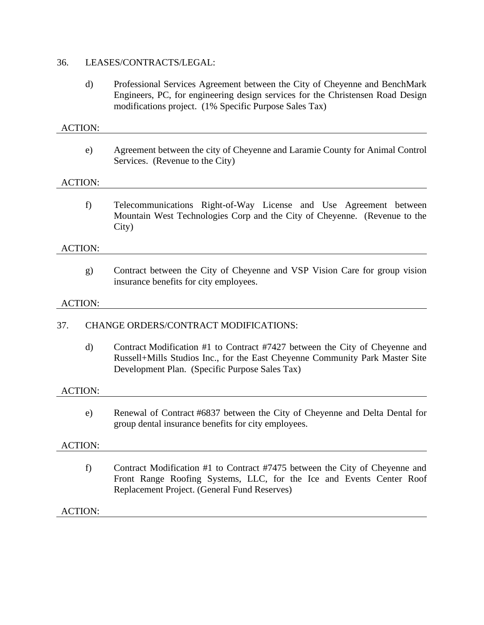## 36. LEASES/CONTRACTS/LEGAL:

d) Professional Services Agreement between the City of Cheyenne and BenchMark Engineers, PC, for engineering design services for the Christensen Road Design modifications project. (1% Specific Purpose Sales Tax)

# ACTION:

e) Agreement between the city of Cheyenne and Laramie County for Animal Control Services. (Revenue to the City)

## ACTION:

f) Telecommunications Right-of-Way License and Use Agreement between Mountain West Technologies Corp and the City of Cheyenne. (Revenue to the City)

#### ACTION:

g) Contract between the City of Cheyenne and VSP Vision Care for group vision insurance benefits for city employees.

#### ACTION:

## 37. CHANGE ORDERS/CONTRACT MODIFICATIONS:

d) Contract Modification #1 to Contract #7427 between the City of Cheyenne and Russell+Mills Studios Inc., for the East Cheyenne Community Park Master Site Development Plan. (Specific Purpose Sales Tax)

#### ACTION:

e) Renewal of Contract #6837 between the City of Cheyenne and Delta Dental for group dental insurance benefits for city employees.

#### ACTION:

f) Contract Modification #1 to Contract #7475 between the City of Cheyenne and Front Range Roofing Systems, LLC, for the Ice and Events Center Roof Replacement Project. (General Fund Reserves)

#### ACTION: